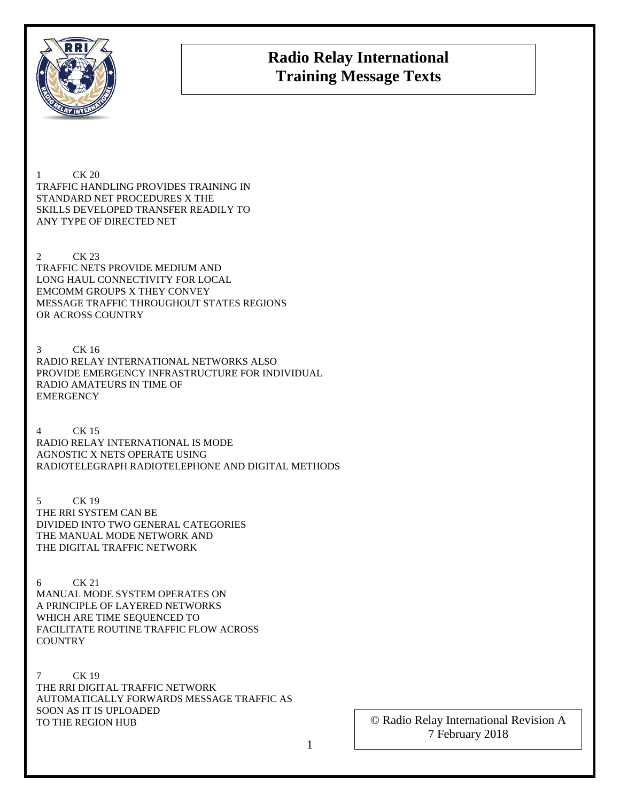

## **Radio Relay International Training Message Texts**

1 CK 20 TRAFFIC HANDLING PROVIDES TRAINING IN STANDARD NET PROCEDURES X THE SKILLS DEVELOPED TRANSFER READILY TO ANY TYPE OF DIRECTED NET

2 CK 23 TRAFFIC NETS PROVIDE MEDIUM AND LONG HAUL CONNECTIVITY FOR LOCAL EMCOMM GROUPS X THEY CONVEY MESSAGE TRAFFIC THROUGHOUT STATES REGIONS OR ACROSS COUNTRY

3 CK 16 RADIO RELAY INTERNATIONAL NETWORKS ALSO PROVIDE EMERGENCY INFRASTRUCTURE FOR INDIVIDUAL RADIO AMATEURS IN TIME OF **EMERGENCY** 

4 CK 15 RADIO RELAY INTERNATIONAL IS MODE AGNOSTIC X NETS OPERATE USING RADIOTELEGRAPH RADIOTELEPHONE AND DIGITAL METHODS

5 CK 19 THE RRI SYSTEM CAN BE DIVIDED INTO TWO GENERAL CATEGORIES THE MANUAL MODE NETWORK AND THE DIGITAL TRAFFIC NETWORK

6 CK 21 MANUAL MODE SYSTEM OPERATES ON A PRINCIPLE OF LAYERED NETWORKS WHICH ARE TIME SEQUENCED TO FACILITATE ROUTINE TRAFFIC FLOW ACROSS **COUNTRY** 

7 CK 19 THE RRI DIGITAL TRAFFIC NETWORK AUTOMATICALLY FORWARDS MESSAGE TRAFFIC AS SOON AS IT IS UPLOADED TO THE REGION HUB

© Radio Relay International Revision A 7 February 2018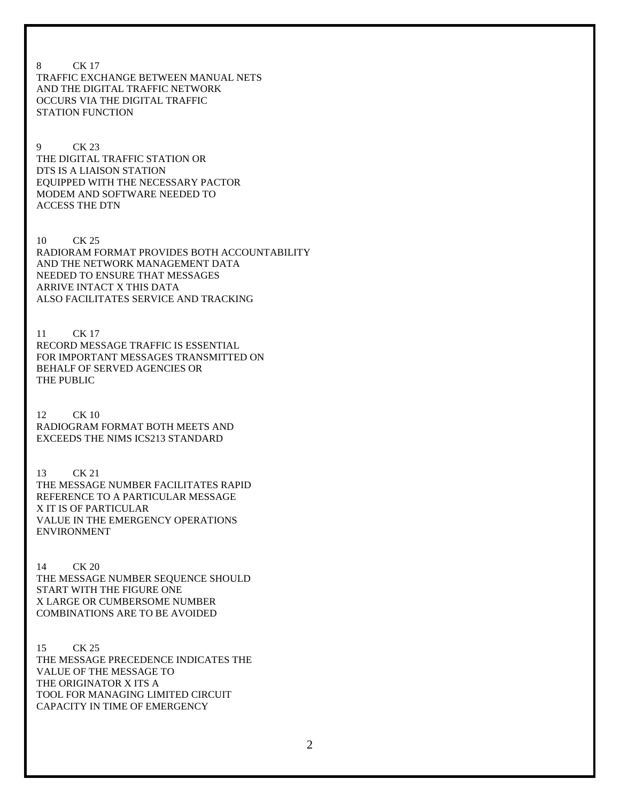8 CK 17 TRAFFIC EXCHANGE BETWEEN MANUAL NETS AND THE DIGITAL TRAFFIC NETWORK OCCURS VIA THE DIGITAL TRAFFIC STATION FUNCTION

9 CK 23 THE DIGITAL TRAFFIC STATION OR DTS IS A LIAISON STATION EQUIPPED WITH THE NECESSARY PACTOR MODEM AND SOFTWARE NEEDED TO ACCESS THE DTN

10 CK 25 RADIORAM FORMAT PROVIDES BOTH ACCOUNTABILITY AND THE NETWORK MANAGEMENT DATA NEEDED TO ENSURE THAT MESSAGES ARRIVE INTACT X THIS DATA ALSO FACILITATES SERVICE AND TRACKING

11 CK 17 RECORD MESSAGE TRAFFIC IS ESSENTIAL FOR IMPORTANT MESSAGES TRANSMITTED ON BEHALF OF SERVED AGENCIES OR THE PUBLIC

12 CK 10 RADIOGRAM FORMAT BOTH MEETS AND EXCEEDS THE NIMS ICS213 STANDARD

13 CK 21 THE MESSAGE NUMBER FACILITATES RAPID REFERENCE TO A PARTICULAR MESSAGE X IT IS OF PARTICULAR VALUE IN THE EMERGENCY OPERATIONS ENVIRONMENT

14 CK 20 THE MESSAGE NUMBER SEQUENCE SHOULD START WITH THE FIGURE ONE X LARGE OR CUMBERSOME NUMBER COMBINATIONS ARE TO BE AVOIDED

15 CK 25 THE MESSAGE PRECEDENCE INDICATES THE VALUE OF THE MESSAGE TO THE ORIGINATOR X ITS A TOOL FOR MANAGING LIMITED CIRCUIT CAPACITY IN TIME OF EMERGENCY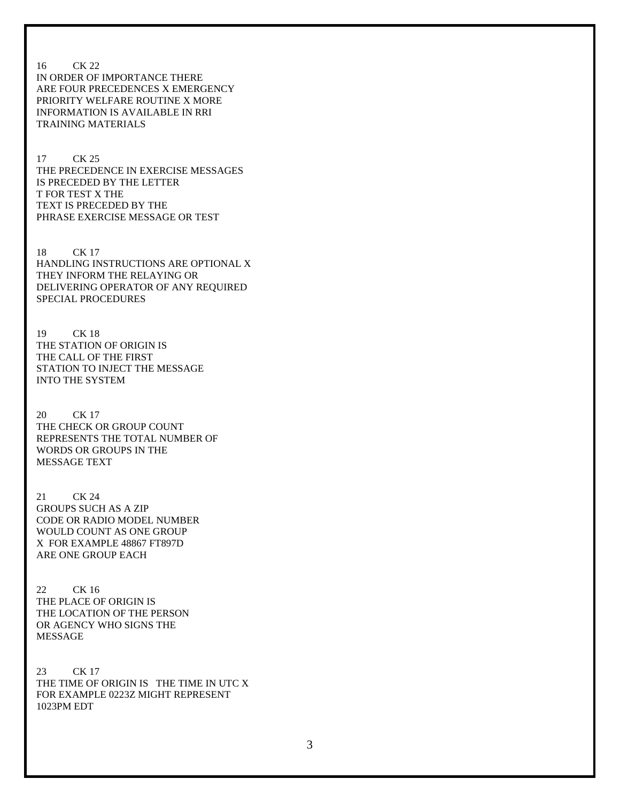16 CK 22 IN ORDER OF IMPORTANCE THERE ARE FOUR PRECEDENCES X EMERGENCY PRIORITY WELFARE ROUTINE X MORE INFORMATION IS AVAILABLE IN RRI TRAINING MATERIALS

17 CK 25 THE PRECEDENCE IN EXERCISE MESSAGES IS PRECEDED BY THE LETTER T FOR TEST X THE TEXT IS PRECEDED BY THE PHRASE EXERCISE MESSAGE OR TEST

18 CK 17 HANDLING INSTRUCTIONS ARE OPTIONAL X THEY INFORM THE RELAYING OR DELIVERING OPERATOR OF ANY REQUIRED SPECIAL PROCEDURES

19 CK 18 THE STATION OF ORIGIN IS THE CALL OF THE FIRST STATION TO INJECT THE MESSAGE INTO THE SYSTEM

20 CK 17 THE CHECK OR GROUP COUNT REPRESENTS THE TOTAL NUMBER OF WORDS OR GROUPS IN THE MESSAGE TEXT

21 CK 24 GROUPS SUCH AS A ZIP CODE OR RADIO MODEL NUMBER WOULD COUNT AS ONE GROUP X FOR EXAMPLE 48867 FT897D ARE ONE GROUP EACH

22 CK 16 THE PLACE OF ORIGIN IS THE LOCATION OF THE PERSON OR AGENCY WHO SIGNS THE MESSAGE

23 CK 17 THE TIME OF ORIGIN IS THE TIME IN UTC X FOR EXAMPLE 0223Z MIGHT REPRESENT 1023PM EDT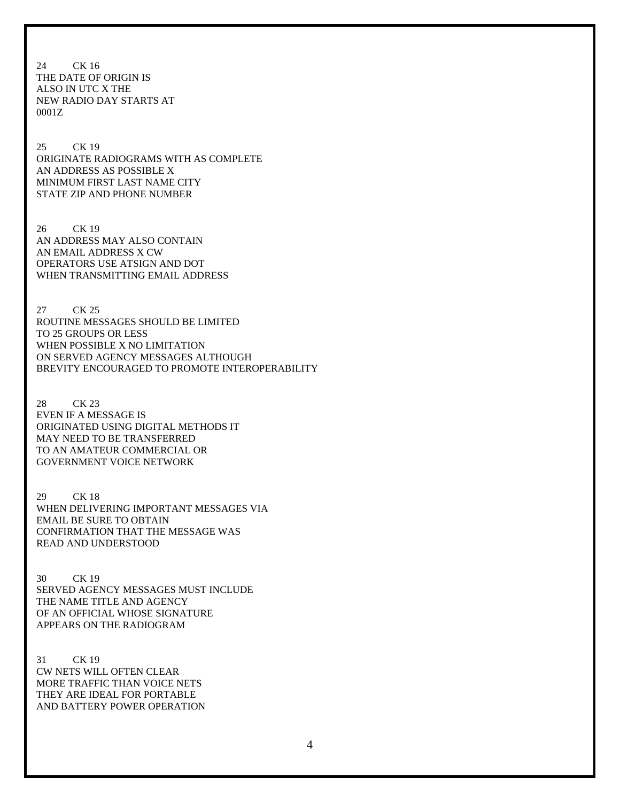24 CK 16 THE DATE OF ORIGIN IS ALSO IN UTC X THE NEW RADIO DAY STARTS AT 0001Z

25 CK 19 ORIGINATE RADIOGRAMS WITH AS COMPLETE AN ADDRESS AS POSSIBLE X MINIMUM FIRST LAST NAME CITY STATE ZIP AND PHONE NUMBER

26 CK 19 AN ADDRESS MAY ALSO CONTAIN AN EMAIL ADDRESS X CW OPERATORS USE ATSIGN AND DOT WHEN TRANSMITTING EMAIL ADDRESS

27 CK 25 ROUTINE MESSAGES SHOULD BE LIMITED TO 25 GROUPS OR LESS WHEN POSSIBLE X NO LIMITATION ON SERVED AGENCY MESSAGES ALTHOUGH BREVITY ENCOURAGED TO PROMOTE INTEROPERABILITY

28 CK 23 EVEN IF A MESSAGE IS ORIGINATED USING DIGITAL METHODS IT MAY NEED TO BE TRANSFERRED TO AN AMATEUR COMMERCIAL OR GOVERNMENT VOICE NETWORK

29 CK 18 WHEN DELIVERING IMPORTANT MESSAGES VIA EMAIL BE SURE TO OBTAIN CONFIRMATION THAT THE MESSAGE WAS READ AND UNDERSTOOD

30 CK 19 SERVED AGENCY MESSAGES MUST INCLUDE THE NAME TITLE AND AGENCY OF AN OFFICIAL WHOSE SIGNATURE APPEARS ON THE RADIOGRAM

31 CK 19 CW NETS WILL OFTEN CLEAR MORE TRAFFIC THAN VOICE NETS THEY ARE IDEAL FOR PORTABLE AND BATTERY POWER OPERATION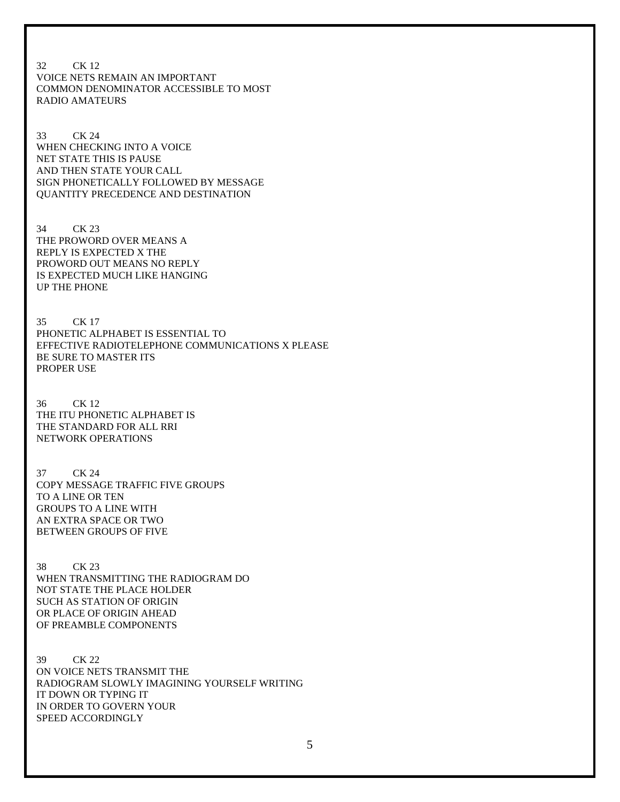32 CK 12 VOICE NETS REMAIN AN IMPORTANT COMMON DENOMINATOR ACCESSIBLE TO MOST RADIO AMATEURS

33 CK 24 WHEN CHECKING INTO A VOICE NET STATE THIS IS PAUSE AND THEN STATE YOUR CALL SIGN PHONETICALLY FOLLOWED BY MESSAGE QUANTITY PRECEDENCE AND DESTINATION

34 CK 23 THE PROWORD OVER MEANS A REPLY IS EXPECTED X THE PROWORD OUT MEANS NO REPLY IS EXPECTED MUCH LIKE HANGING UP THE PHONE

35 CK 17 PHONETIC ALPHABET IS ESSENTIAL TO EFFECTIVE RADIOTELEPHONE COMMUNICATIONS X PLEASE BE SURE TO MASTER ITS PROPER USE

36 CK 12 THE ITU PHONETIC ALPHABET IS THE STANDARD FOR ALL RRI NETWORK OPERATIONS

37 CK 24 COPY MESSAGE TRAFFIC FIVE GROUPS TO A LINE OR TEN GROUPS TO A LINE WITH AN EXTRA SPACE OR TWO BETWEEN GROUPS OF FIVE

38 CK 23 WHEN TRANSMITTING THE RADIOGRAM DO NOT STATE THE PLACE HOLDER SUCH AS STATION OF ORIGIN OR PLACE OF ORIGIN AHEAD OF PREAMBLE COMPONENTS

39 CK 22 ON VOICE NETS TRANSMIT THE RADIOGRAM SLOWLY IMAGINING YOURSELF WRITING IT DOWN OR TYPING IT IN ORDER TO GOVERN YOUR SPEED ACCORDINGLY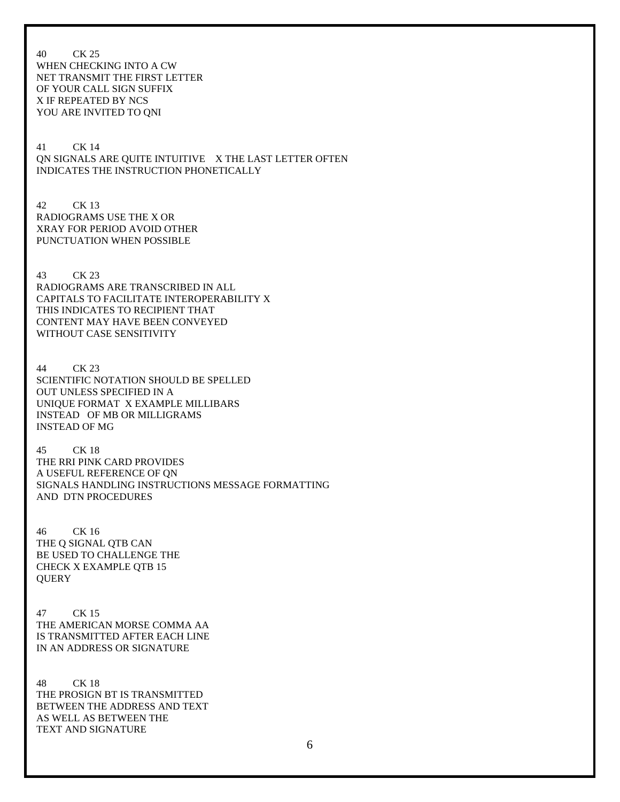40 CK 25 WHEN CHECKING INTO A CW NET TRANSMIT THE FIRST LETTER OF YOUR CALL SIGN SUFFIX X IF REPEATED BY NCS YOU ARE INVITED TO QNI

41 CK 14 QN SIGNALS ARE QUITE INTUITIVE X THE LAST LETTER OFTEN INDICATES THE INSTRUCTION PHONETICALLY

42 CK 13 RADIOGRAMS USE THE X OR XRAY FOR PERIOD AVOID OTHER PUNCTUATION WHEN POSSIBLE

43 CK 23 RADIOGRAMS ARE TRANSCRIBED IN ALL CAPITALS TO FACILITATE INTEROPERABILITY X THIS INDICATES TO RECIPIENT THAT CONTENT MAY HAVE BEEN CONVEYED WITHOUT CASE SENSITIVITY

44 CK 23 SCIENTIFIC NOTATION SHOULD BE SPELLED OUT UNLESS SPECIFIED IN A UNIQUE FORMAT X EXAMPLE MILLIBARS INSTEAD OF MB OR MILLIGRAMS INSTEAD OF MG

45 CK 18 THE RRI PINK CARD PROVIDES A USEFUL REFERENCE OF QN SIGNALS HANDLING INSTRUCTIONS MESSAGE FORMATTING AND DTN PROCEDURES

46 CK 16 THE Q SIGNAL QTB CAN BE USED TO CHALLENGE THE CHECK X EXAMPLE QTB 15 **QUERY** 

47 CK 15 THE AMERICAN MORSE COMMA AA IS TRANSMITTED AFTER EACH LINE IN AN ADDRESS OR SIGNATURE

48 CK 18 THE PROSIGN BT IS TRANSMITTED BETWEEN THE ADDRESS AND TEXT AS WELL AS BETWEEN THE TEXT AND SIGNATURE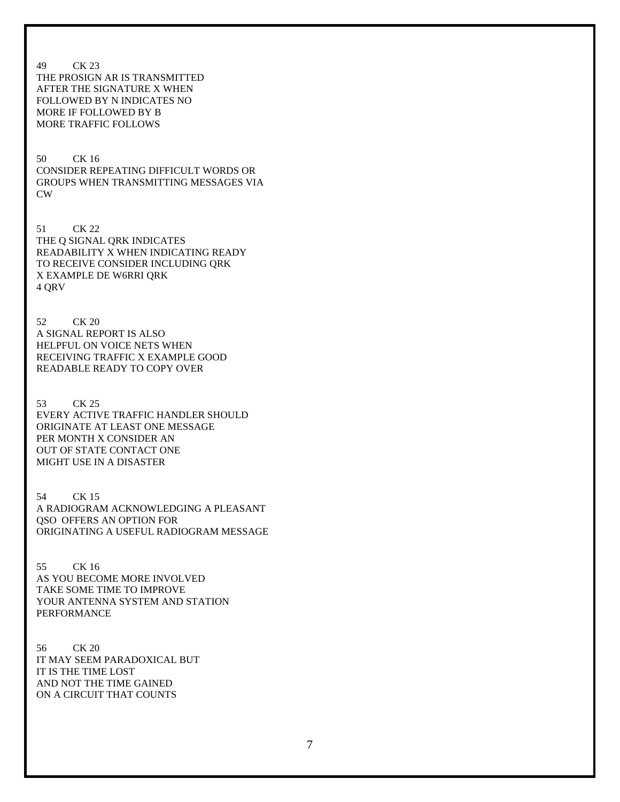49 CK 23 THE PROSIGN AR IS TRANSMITTED AFTER THE SIGNATURE X WHEN FOLLOWED BY N INDICATES NO MORE IF FOLLOWED BY B MORE TRAFFIC FOLLOWS 50 CK 16 CONSIDER REPEATING DIFFICULT WORDS OR GROUPS WHEN TRANSMITTING MESSAGES VIA CW 51 CK 22 THE Q SIGNAL QRK INDICATES READABILITY X WHEN INDICATING READY TO RECEIVE CONSIDER INCLUDING QRK X EXAMPLE DE W6RRI QRK 4 QRV 52 CK 20 A SIGNAL REPORT IS ALSO HELPFUL ON VOICE NETS WHEN RECEIVING TRAFFIC X EXAMPLE GOOD READABLE READY TO COPY OVER 53 CK 25 EVERY ACTIVE TRAFFIC HANDLER SHOULD ORIGINATE AT LEAST ONE MESSAGE PER MONTH X CONSIDER AN OUT OF STATE CONTACT ONE MIGHT USE IN A DISASTER 54 CK 15 A RADIOGRAM ACKNOWLEDGING A PLEASANT QSO OFFERS AN OPTION FOR ORIGINATING A USEFUL RADIOGRAM MESSAGE 55 CK 16 AS YOU BECOME MORE INVOLVED TAKE SOME TIME TO IMPROVE YOUR ANTENNA SYSTEM AND STATION PERFORMANCE 56 CK 20 IT MAY SEEM PARADOXICAL BUT

IT IS THE TIME LOST AND NOT THE TIME GAINED ON A CIRCUIT THAT COUNTS